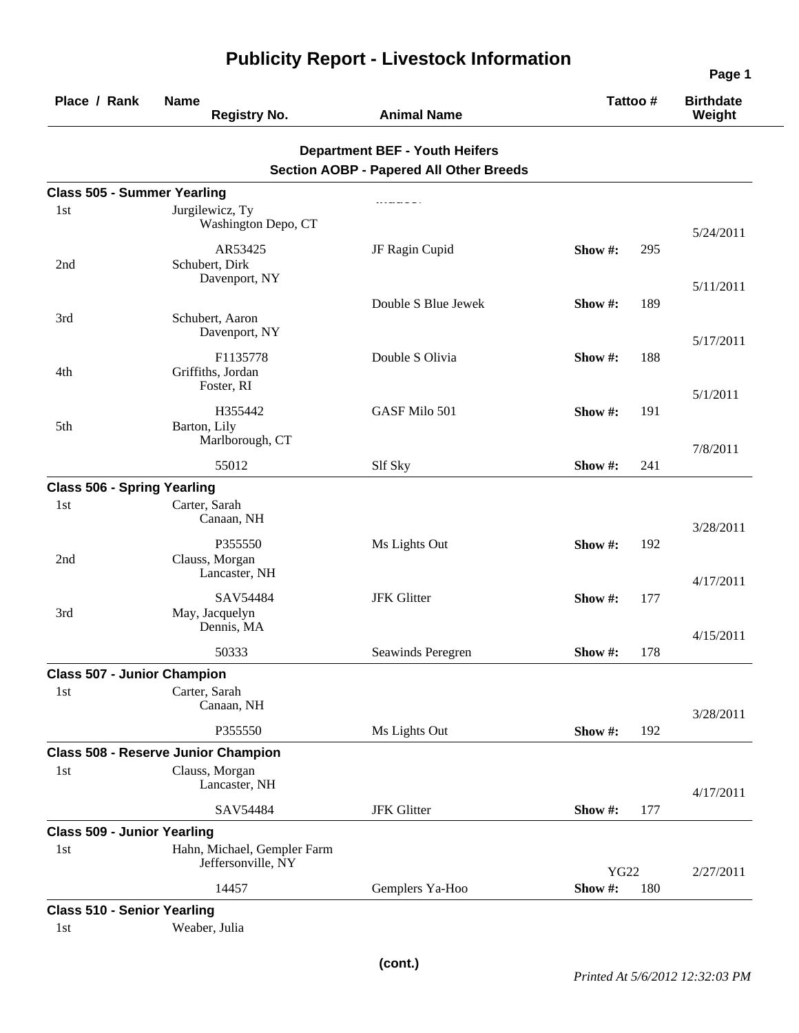| Place / Rank                       | <b>Name</b><br><b>Registry No.</b>                | <b>Animal Name</b>                                                                      |             | Tattoo# | <b>Birthdate</b><br>Weight |
|------------------------------------|---------------------------------------------------|-----------------------------------------------------------------------------------------|-------------|---------|----------------------------|
|                                    |                                                   | <b>Department BEF - Youth Heifers</b><br><b>Section AOBP - Papered All Other Breeds</b> |             |         |                            |
| <b>Class 505 - Summer Yearling</b> |                                                   |                                                                                         |             |         |                            |
| 1st                                | Jurgilewicz, Ty<br>Washington Depo, CT            |                                                                                         |             |         | 5/24/2011                  |
| 2nd                                | AR53425<br>Schubert, Dirk<br>Davenport, NY        | JF Ragin Cupid                                                                          | Show#:      | 295     | 5/11/2011                  |
| 3rd                                | Schubert, Aaron<br>Davenport, NY                  | Double S Blue Jewek                                                                     | Show #:     | 189     |                            |
| 4th                                | F1135778<br>Griffiths, Jordan<br>Foster, RI       | Double S Olivia                                                                         | Show #:     | 188     | 5/17/2011                  |
| 5th                                | H355442<br>Barton, Lily<br>Marlborough, CT        | GASF Milo 501                                                                           | Show #:     | 191     | 5/1/2011                   |
|                                    | 55012                                             | Slf Sky                                                                                 | Show #:     | 241     | 7/8/2011                   |
| <b>Class 506 - Spring Yearling</b> |                                                   |                                                                                         |             |         |                            |
| 1st                                | Carter, Sarah<br>Canaan, NH                       |                                                                                         |             |         | 3/28/2011                  |
| 2nd                                | P355550<br>Clauss, Morgan<br>Lancaster, NH        | Ms Lights Out                                                                           | Show #:     | 192     | 4/17/2011                  |
| 3rd                                | SAV54484<br>May, Jacquelyn<br>Dennis, MA          | <b>JFK</b> Glitter                                                                      | Show #:     | 177     |                            |
|                                    | 50333                                             | Seawinds Peregren                                                                       | Show #:     | 178     | 4/15/2011                  |
| <b>Class 507 - Junior Champion</b> |                                                   |                                                                                         |             |         |                            |
| 1st                                | Carter, Sarah<br>Canaan, NH                       |                                                                                         |             |         | 3/28/2011                  |
|                                    | P355550                                           | Ms Lights Out                                                                           | Show #:     | 192     |                            |
|                                    | <b>Class 508 - Reserve Junior Champion</b>        |                                                                                         |             |         |                            |
| 1st                                | Clauss, Morgan<br>Lancaster, NH                   |                                                                                         |             |         | 4/17/2011                  |
|                                    | SAV54484                                          | <b>JFK</b> Glitter                                                                      | Show #:     | 177     |                            |
| <b>Class 509 - Junior Yearling</b> |                                                   |                                                                                         |             |         |                            |
| 1st                                | Hahn, Michael, Gempler Farm<br>Jeffersonville, NY |                                                                                         | <b>YG22</b> |         | 2/27/2011                  |
|                                    | 14457                                             | Gemplers Ya-Hoo                                                                         | Show #:     | 180     |                            |
| <b>Class 510 - Senior Yearling</b> |                                                   |                                                                                         |             |         |                            |
| 1st                                | Weaber, Julia                                     |                                                                                         |             |         |                            |

## **Publicity Report - Livestock Information**

**Page 1**